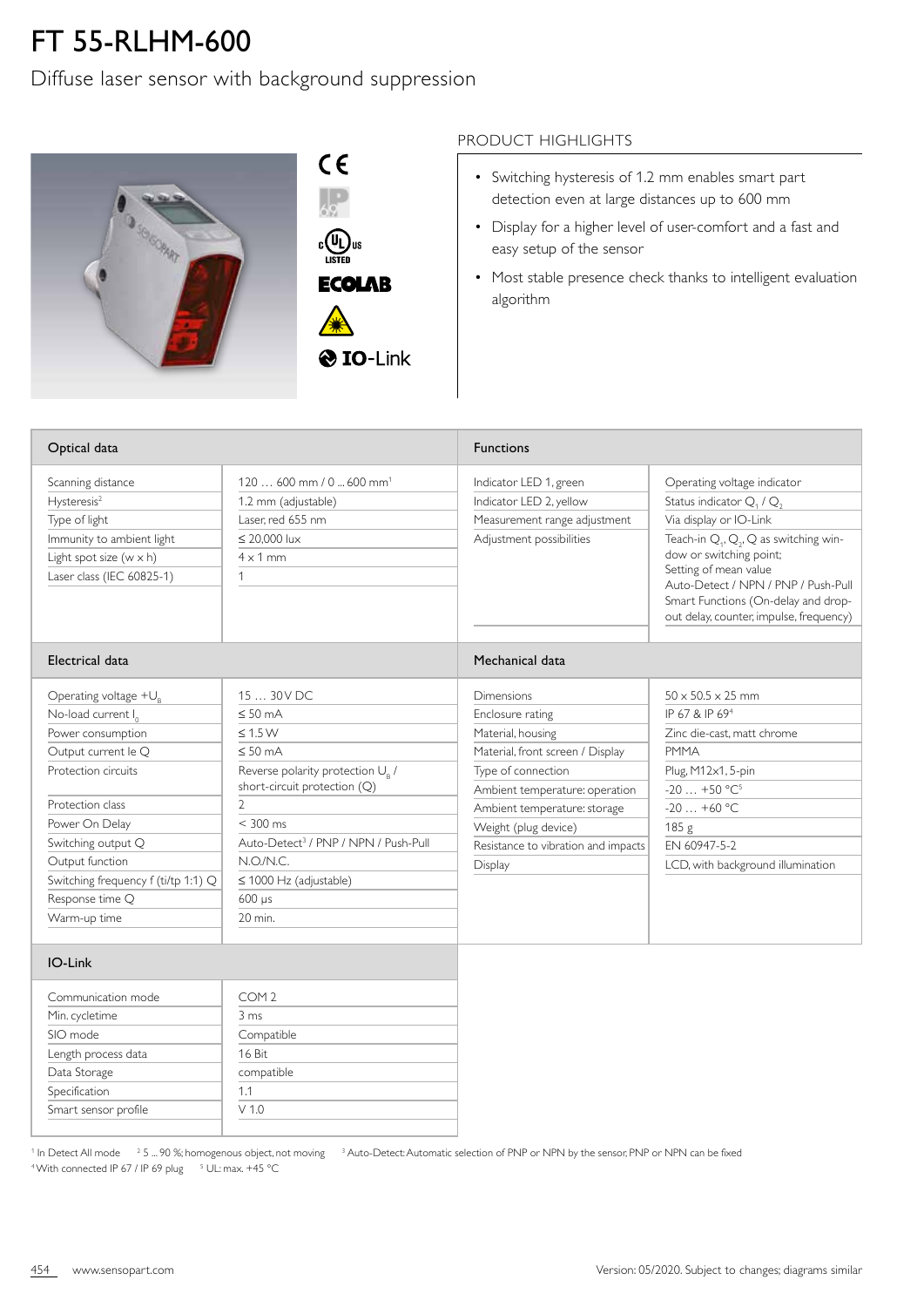## FT 55-RLHM-600

Diffuse laser sensor with background suppression



 $C \in$  $\frac{1}{69}$  $\begin{matrix} \mathbb{C} \\ \mathbb{C} \end{matrix}$   $\begin{matrix} \mathbb{U}_L \\ \mathbb{U} \end{matrix}$  us **ECOLAB** 

## PRODUCT HIGHLIGHTS

- Switching hysteresis of 1.2 mm enables smart part detection even at large distances up to 600 mm
- Display for a higher level of user-comfort and a fast and easy setup of the sensor
- Most stable presence check thanks to intelligent evaluation algorithm

| Optical data                                                                                                                                                                                                                                                                  |                                                                                                                                                                                                                                                                                                                     | <b>Functions</b>                                                                                                                                                                                                                                                 |                                                                                                                                                                                                                                                                                                                      |
|-------------------------------------------------------------------------------------------------------------------------------------------------------------------------------------------------------------------------------------------------------------------------------|---------------------------------------------------------------------------------------------------------------------------------------------------------------------------------------------------------------------------------------------------------------------------------------------------------------------|------------------------------------------------------------------------------------------------------------------------------------------------------------------------------------------------------------------------------------------------------------------|----------------------------------------------------------------------------------------------------------------------------------------------------------------------------------------------------------------------------------------------------------------------------------------------------------------------|
| Scanning distance<br>Hysteresis <sup>2</sup><br>Type of light<br>Immunity to ambient light<br>Light spot size $(w \times h)$<br>Laser class (IEC 60825-1)                                                                                                                     | 120  600 mm / 0  600 mm <sup>1</sup><br>1.2 mm (adjustable)<br>Laser, red 655 nm<br>$\leq$ 20,000 lux<br>$4 \times 1$ mm<br>1                                                                                                                                                                                       | Indicator LED 1, green<br>Indicator LED 2, yellow<br>Measurement range adjustment<br>Adjustment possibilities                                                                                                                                                    | Operating voltage indicator<br>Status indicator $Q_1$ / $Q_2$<br>Via display or IO-Link<br>Teach-in $Q_1$ , $Q_2$ , Q as switching win-<br>dow or switching point;<br>Setting of mean value<br>Auto-Detect / NPN / PNP / Push-Pull<br>Smart Functions (On-delay and drop-<br>out delay, counter, impulse, frequency) |
| Electrical data                                                                                                                                                                                                                                                               |                                                                                                                                                                                                                                                                                                                     | Mechanical data                                                                                                                                                                                                                                                  |                                                                                                                                                                                                                                                                                                                      |
| Operating voltage $+U_R$<br>No-load current $I_0$<br>Power consumption<br>Output current le Q<br>Protection circuits<br>Protection class<br>Power On Delay<br>Switching output Q<br>Output function<br>Switching frequency f (ti/tp 1:1) Q<br>Response time Q<br>Warm-up time | 15  30 V DC<br>$\leq 50$ mA<br>$\leq 1.5 W$<br>$\leq 50$ mA<br>Reverse polarity protection U <sub>B</sub> /<br>short-circuit protection (Q)<br>$\mathfrak{D}$<br>$< 300$ ms<br>Auto-Detect <sup>3</sup> / PNP / NPN / Push-Pull<br>N.O./N.C.<br>$\leq$ 1000 Hz (adjustable)<br>$600 \text{ }\mu\text{s}$<br>20 min. | Dimensions<br>Enclosure rating<br>Material, housing<br>Material, front screen / Display<br>Type of connection<br>Ambient temperature: operation<br>Ambient temperature: storage<br>Weight (plug device)<br>Resistance to vibration and impacts<br><b>Display</b> | $50 \times 50.5 \times 25$ mm<br>IP 67 & IP 69 <sup>4</sup><br>Zinc die-cast, matt chrome<br><b>PMMA</b><br>Plug, M12x1, 5-pin<br>$-20+50 °C^5$<br>$-20+60$ °C<br>185 <sub>g</sub><br>FN 60947-5-2<br>LCD, with background illumination                                                                              |
| IO-Link                                                                                                                                                                                                                                                                       |                                                                                                                                                                                                                                                                                                                     |                                                                                                                                                                                                                                                                  |                                                                                                                                                                                                                                                                                                                      |
| Communication mode                                                                                                                                                                                                                                                            | COM <sub>2</sub>                                                                                                                                                                                                                                                                                                    |                                                                                                                                                                                                                                                                  |                                                                                                                                                                                                                                                                                                                      |

| Communication mode   | COM <sub>2</sub> |
|----------------------|------------------|
| Min. cycletime       | 3 ms             |
| SIO mode             | Compatible       |
| Length process data  | 16 Bit           |
| Data Storage         | compatible       |
| Specification        | 11               |
| Smart sensor profile | V 1 0            |
|                      |                  |

 $^1$  In Detect All mode  $^2$  5 ... 90 %; homogenous object, not moving  $^3$  Auto-Detect: Automatic selection of PNP or NPN by the sensor, PNP or NPN can be fixed <sup>4</sup> With connected IP 67 / IP 69 plug <sup>5</sup> UL: max. +45 °C